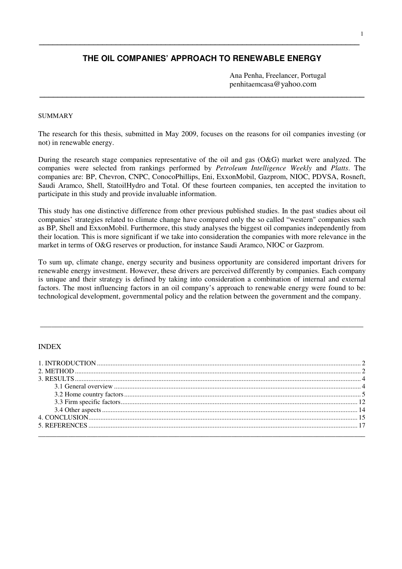# **THE OIL COMPANIES' APPROACH TO RENEWABLE ENERGY**

**\_\_\_\_\_\_\_\_\_\_\_\_\_\_\_\_\_\_\_\_\_\_\_\_\_\_\_\_\_\_\_\_\_\_\_\_\_\_\_\_\_\_\_\_\_\_\_\_\_\_\_\_\_\_\_\_\_\_\_\_\_\_\_\_\_\_\_\_\_\_\_\_** 

**\_\_\_\_\_\_\_\_\_\_\_\_\_\_\_\_\_\_\_\_\_\_\_\_\_\_\_\_\_\_\_\_\_\_\_\_\_\_\_\_\_\_\_\_\_\_\_\_\_\_\_\_\_\_\_\_\_\_\_\_\_\_\_\_\_\_\_\_\_\_\_** 

Ana Penha, Freelancer, Portugal penhitaemcasa@yahoo.com

## SUMMARY

The research for this thesis, submitted in May 2009, focuses on the reasons for oil companies investing (or not) in renewable energy.

During the research stage companies representative of the oil and gas (O&G) market were analyzed. The companies were selected from rankings performed by *Petroleum Intelligence Weekly* and *Platts*. The companies are: BP, Chevron, CNPC, ConocoPhillips, Eni, ExxonMobil, Gazprom, NIOC, PDVSA, Rosneft, Saudi Aramco, Shell, StatoilHydro and Total. Of these fourteen companies, ten accepted the invitation to participate in this study and provide invaluable information.

This study has one distinctive difference from other previous published studies. In the past studies about oil companies' strategies related to climate change have compared only the so called "western" companies such as BP, Shell and ExxonMobil. Furthermore, this study analyses the biggest oil companies independently from their location. This is more significant if we take into consideration the companies with more relevance in the market in terms of O&G reserves or production, for instance Saudi Aramco, NIOC or Gazprom.

To sum up, climate change, energy security and business opportunity are considered important drivers for renewable energy investment. However, these drivers are perceived differently by companies. Each company is unique and their strategy is defined by taking into consideration a combination of internal and external factors. The most influencing factors in an oil company's approach to renewable energy were found to be: technological development, governmental policy and the relation between the government and the company.

**\_\_\_\_\_\_\_\_\_\_\_\_\_\_\_\_\_\_\_\_\_\_\_\_\_\_\_\_\_\_\_\_\_\_\_\_\_\_\_\_\_\_\_\_\_\_\_\_\_\_\_\_\_\_\_\_\_\_\_\_\_\_\_\_\_\_\_\_\_\_\_\_\_\_\_\_\_\_\_\_\_\_\_\_\_\_\_** 

#### INDEX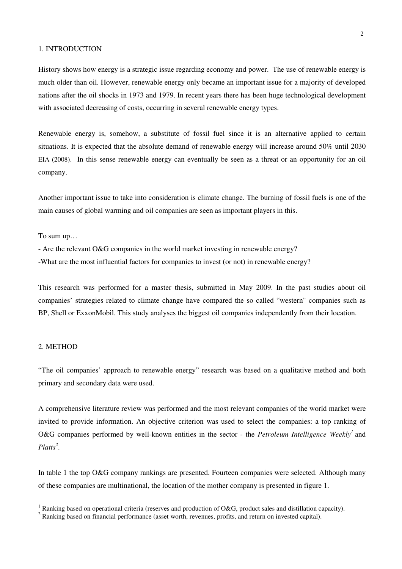## 1. INTRODUCTION

History shows how energy is a strategic issue regarding economy and power. The use of renewable energy is much older than oil. However, renewable energy only became an important issue for a majority of developed nations after the oil shocks in 1973 and 1979. In recent years there has been huge technological development with associated decreasing of costs, occurring in several renewable energy types.

Renewable energy is, somehow, a substitute of fossil fuel since it is an alternative applied to certain situations. It is expected that the absolute demand of renewable energy will increase around 50% until 2030 EIA (2008). In this sense renewable energy can eventually be seen as a threat or an opportunity for an oil company.

Another important issue to take into consideration is climate change. The burning of fossil fuels is one of the main causes of global warming and oil companies are seen as important players in this.

To sum up…

- Are the relevant O&G companies in the world market investing in renewable energy?
- -What are the most influential factors for companies to invest (or not) in renewable energy?

This research was performed for a master thesis, submitted in May 2009. In the past studies about oil companies' strategies related to climate change have compared the so called "western" companies such as BP, Shell or ExxonMobil. This study analyses the biggest oil companies independently from their location.

## 2. METHOD

 $\overline{a}$ 

"The oil companies' approach to renewable energy" research was based on a qualitative method and both primary and secondary data were used.

A comprehensive literature review was performed and the most relevant companies of the world market were invited to provide information. An objective criterion was used to select the companies: a top ranking of O&G companies performed by well-known entities in the sector - the Petroleum Intelligence Weekly<sup>1</sup> and *Platts<sup>2</sup>* .

In table 1 the top O&G company rankings are presented. Fourteen companies were selected. Although many of these companies are multinational, the location of the mother company is presented in figure 1.

<sup>&</sup>lt;sup>1</sup> Ranking based on operational criteria (reserves and production of O&G, product sales and distillation capacity).

 $2^2$  Ranking based on financial performance (asset worth, revenues, profits, and return on invested capital).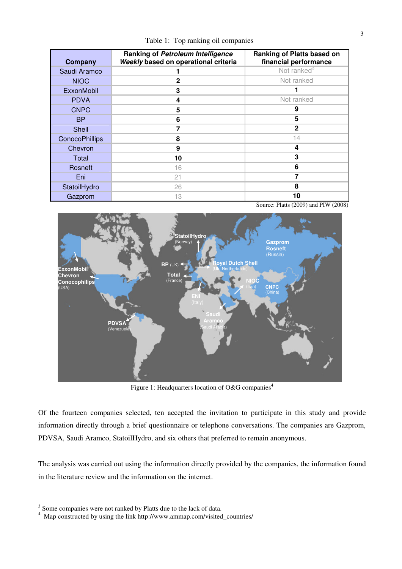Table 1: Top ranking oil companies

| Company               | Ranking of Petroleum Intelligence<br>Weekly based on operational criteria | <b>Ranking of Platts based on</b><br>financial performance |
|-----------------------|---------------------------------------------------------------------------|------------------------------------------------------------|
| Saudi Aramco          |                                                                           | Not ranked <sup>3</sup>                                    |
| <b>NIOC</b>           | $\mathbf{2}$                                                              | Not ranked                                                 |
| ExxonMobil            | 3                                                                         |                                                            |
| <b>PDVA</b>           | 4                                                                         | Not ranked                                                 |
| <b>CNPC</b>           | 5                                                                         | 9                                                          |
| <b>BP</b>             | 6                                                                         | 5                                                          |
| Shell                 | 7                                                                         | $\mathbf{2}$                                               |
| <b>ConocoPhillips</b> | 8                                                                         | 14                                                         |
| Chevron               | 9                                                                         | 4                                                          |
| Total                 | 10                                                                        | 3                                                          |
| Rosneft               | 16                                                                        | 6                                                          |
| Eni                   | 21                                                                        | 7                                                          |
| StatoilHydro          | 26                                                                        | 8                                                          |
| Gazprom               | 13                                                                        | 10                                                         |

Source: Platts (2009) and PIW (2008)



Figure 1: Headquarters location of O&G companies<sup>4</sup>

Of the fourteen companies selected, ten accepted the invitation to participate in this study and provide information directly through a brief questionnaire or telephone conversations. The companies are Gazprom, PDVSA, Saudi Aramco, StatoilHydro, and six others that preferred to remain anonymous.

The analysis was carried out using the information directly provided by the companies, the information found in the literature review and the information on the internet.

<sup>&</sup>lt;sup>3</sup> Some companies were not ranked by Platts due to the lack of data.<br><sup>4</sup> Map constructed by using the link http://www.ammap.com/visited\_countries/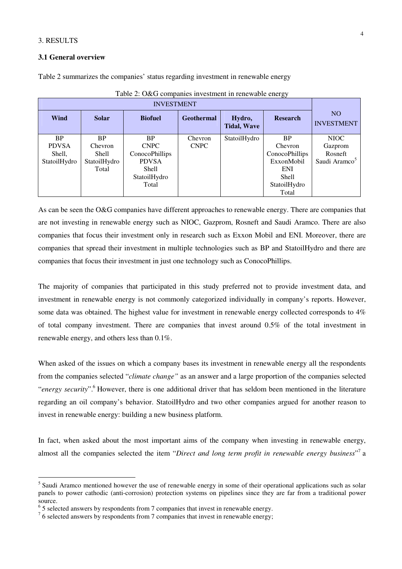## 3. RESULTS

 $\overline{a}$ 

## **3.1 General overview**

Table 2 summarizes the companies' status regarding investment in renewable energy

| <b>INVESTMENT</b> |              |                       |                   |                              |                       |                                     |
|-------------------|--------------|-----------------------|-------------------|------------------------------|-----------------------|-------------------------------------|
| Wind              | <b>Solar</b> | <b>Biofuel</b>        | <b>Geothermal</b> | Hydro,<br><b>Tidal, Wave</b> | <b>Research</b>       | N <sub>O</sub><br><b>INVESTMENT</b> |
| <b>BP</b>         | <b>BP</b>    | <b>BP</b>             | Chevron           | StatoilHydro                 | <b>BP</b>             | NIOC                                |
| <b>PDVSA</b>      | Chevron      | <b>CNPC</b>           | <b>CNPC</b>       |                              | Chevron               | Gazprom                             |
| Shell,            | <b>Shell</b> | <b>ConocoPhillips</b> |                   |                              | <b>ConocoPhillips</b> | Rosneft                             |
| StatoilHydro      | StatoilHydro | <b>PDVSA</b>          |                   |                              | ExxonMobil            | Saudi Aramco <sup>5</sup>           |
|                   | Total        | <b>Shell</b>          |                   |                              | <b>ENI</b>            |                                     |
|                   |              | StatoilHydro          |                   |                              | Shell                 |                                     |
|                   |              | Total                 |                   |                              | StatoilHydro          |                                     |
|                   |              |                       |                   |                              | Total                 |                                     |

| Table 2: O&G companies investment in renewable energy |  |  |  |  |  |  |  |  |  |
|-------------------------------------------------------|--|--|--|--|--|--|--|--|--|
|-------------------------------------------------------|--|--|--|--|--|--|--|--|--|

As can be seen the O&G companies have different approaches to renewable energy. There are companies that are not investing in renewable energy such as NIOC, Gazprom, Rosneft and Saudi Aramco. There are also companies that focus their investment only in research such as Exxon Mobil and ENI. Moreover, there are companies that spread their investment in multiple technologies such as BP and StatoilHydro and there are companies that focus their investment in just one technology such as ConocoPhillips.

The majority of companies that participated in this study preferred not to provide investment data, and investment in renewable energy is not commonly categorized individually in company's reports. However, some data was obtained. The highest value for investment in renewable energy collected corresponds to 4% of total company investment. There are companies that invest around 0.5% of the total investment in renewable energy, and others less than 0.1%.

When asked of the issues on which a company bases its investment in renewable energy all the respondents from the companies selected "*climate change"* as an answer and a large proportion of the companies selected "*energy security*".<sup>6</sup> However, there is one additional driver that has seldom been mentioned in the literature regarding an oil company's behavior. StatoilHydro and two other companies argued for another reason to invest in renewable energy: building a new business platform.

In fact, when asked about the most important aims of the company when investing in renewable energy, almost all the companies selected the item "Direct and long term profit in renewable energy business"<sup>7</sup> a

<sup>&</sup>lt;sup>5</sup> Saudi Aramco mentioned however the use of renewable energy in some of their operational applications such as solar panels to power cathodic (anti-corrosion) protection systems on pipelines since they are far from a traditional power source.

<sup>&</sup>lt;sup>6</sup> 5 selected answers by respondents from 7 companies that invest in renewable energy.

 $<sup>7</sup>$  6 selected answers by respondents from 7 companies that invest in renewable energy;</sup>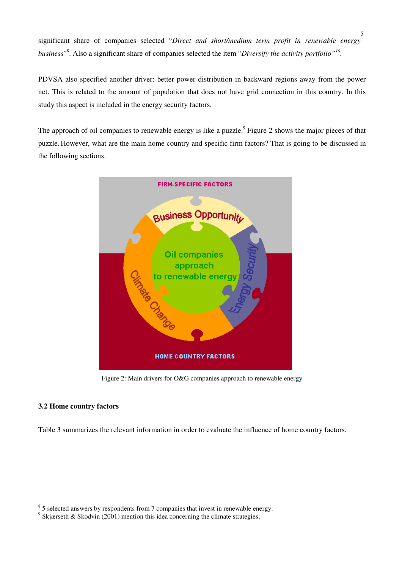significant share of companies selected "*Direct and short/medium term profit in renewable energy*  business<sup>"8</sup>. Also a significant share of companies selected the item "*Diversify the activity portfolio*"<sup>*10*</sup>.

PDVSA also specified another driver: better power distribution in backward regions away from the power net. This is related to the amount of population that does not have grid connection in this country. In this study this aspect is included in the energy security factors.

The approach of oil companies to renewable energy is like a puzzle.<sup>9</sup> Figure 2 shows the major pieces of that puzzle. However, what are the main home country and specific firm factors? That is going to be discussed in the following sections.



Figure 2: Main drivers for O&G companies approach to renewable energy

# **3.2 Home country factors**

Table 3 summarizes the relevant information in order to evaluate the influence of home country factors.

<sup>&</sup>lt;sup>8</sup> 5 selected answers by respondents from 7 companies that invest in renewable energy.

<sup>&</sup>lt;sup>9</sup> Skjærseth & Skodvin (2001) mention this idea concerning the climate strategies;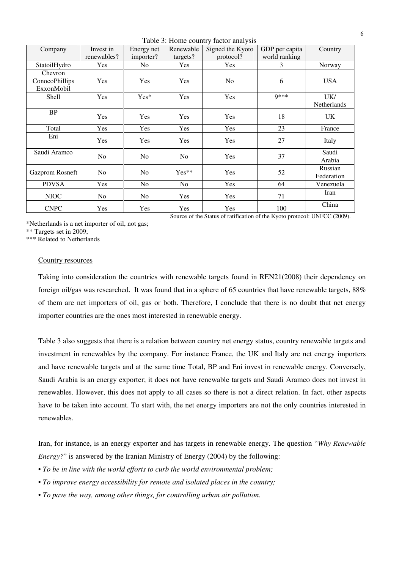Table 3: Home country factor analysis

|                                                                           |                |                |                | raone of frome country ractor and you |                |             |
|---------------------------------------------------------------------------|----------------|----------------|----------------|---------------------------------------|----------------|-------------|
| Company                                                                   | Invest in      | Energy net     | Renewable      | Signed the Kyoto                      | GDP per capita | Country     |
|                                                                           | renewables?    | importer?      | targets?       | protocol?                             | world ranking  |             |
| StatoilHydro                                                              | <b>Yes</b>     | No.            | Yes            | Yes                                   | 3              | Norway      |
| Chevron                                                                   |                |                |                |                                       |                |             |
| ConocoPhillips                                                            | Yes            | Yes            | Yes            | N <sub>0</sub>                        | 6              | <b>USA</b>  |
| ExxonMobil                                                                |                |                |                |                                       |                |             |
| Shell                                                                     | Yes            | Yes*           | Yes            | Yes                                   | <b>Q***</b>    | UK/         |
|                                                                           |                |                |                |                                       |                | Netherlands |
| <b>BP</b>                                                                 | Yes            |                | Yes            | Yes                                   |                |             |
|                                                                           |                | Yes            |                |                                       | 18             | UK          |
| Total                                                                     | Yes            | Yes            | Yes            | Yes                                   | 23             | France      |
| Eni                                                                       | Yes            | Yes            | Yes            | Yes                                   | 27             |             |
|                                                                           |                |                |                |                                       |                | Italy       |
| Saudi Aramco                                                              | N <sub>o</sub> | N <sub>o</sub> | N <sub>o</sub> | Yes                                   | 37             | Saudi       |
|                                                                           |                |                |                |                                       |                | Arabia      |
| Gazprom Rosneft                                                           | N <sub>o</sub> | N <sub>o</sub> | $Yes**$        | Yes                                   | 52             | Russian     |
|                                                                           |                |                |                |                                       |                | Federation  |
| <b>PDVSA</b>                                                              | Yes            | N <sub>o</sub> | No             | Yes                                   | 64             | Venezuela   |
| <b>NIOC</b>                                                               | No             | N <sub>o</sub> | Yes            | Yes                                   | 71             | Iran        |
|                                                                           |                |                |                |                                       |                |             |
| <b>CNPC</b>                                                               | <b>Yes</b>     | Yes            | Yes            | Yes                                   | 100            | China       |
| Source of the Status of ratification of the Kyoto protocol: UNFCC (2009). |                |                |                |                                       |                |             |

\*Netherlands is a net importer of oil, not gas;

\*\* Targets set in 2009;

\*\*\* Related to Netherlands

### Country resources

Taking into consideration the countries with renewable targets found in REN21(2008) their dependency on foreign oil/gas was researched. It was found that in a sphere of 65 countries that have renewable targets, 88% of them are net importers of oil, gas or both. Therefore, I conclude that there is no doubt that net energy importer countries are the ones most interested in renewable energy.

Table 3 also suggests that there is a relation between country net energy status, country renewable targets and investment in renewables by the company. For instance France, the UK and Italy are net energy importers and have renewable targets and at the same time Total, BP and Eni invest in renewable energy. Conversely, Saudi Arabia is an energy exporter; it does not have renewable targets and Saudi Aramco does not invest in renewables. However, this does not apply to all cases so there is not a direct relation. In fact, other aspects have to be taken into account. To start with, the net energy importers are not the only countries interested in renewables.

Iran, for instance, is an energy exporter and has targets in renewable energy. The question "*Why Renewable Energy?*" is answered by the Iranian Ministry of Energy (2004) by the following:

- *To be in line with the world efforts to curb the world environmental problem;*
- *To improve energy accessibility for remote and isolated places in the country;*
- *To pave the way, among other things, for controlling urban air pollution.*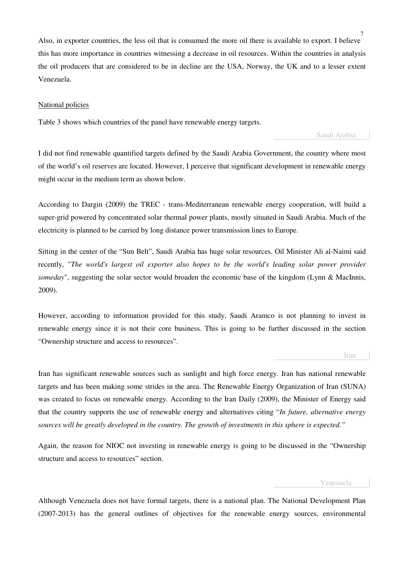Also, in exporter countries, the less oil that is consumed the more oil there is available to export. I believe this has more importance in countries witnessing a decrease in oil resources. Within the countries in analysis the oil producers that are considered to be in decline are the USA, Norway, the UK and to a lesser extent Venezuela.

### National policies

Table 3 shows which countries of the panel have renewable energy targets.

Saudi Arabia

I did not find renewable quantified targets defined by the Saudi Arabia Government, the country where most of the world's oil reserves are located. However, I perceive that significant development in renewable energy might occur in the medium term as shown below.

According to Dargin (2009) the TREC - trans-Mediterranean renewable energy cooperation, will build a super-grid powered by concentrated solar thermal power plants, mostly situated in Saudi Arabia. Much of the electricity is planned to be carried by long distance power transmission lines to Europe.

Sitting in the center of the "Sun Belt", Saudi Arabia has huge solar resources. Oil Minister Ali al-Naimi said recently, "*The world's largest oil exporter also hopes to be the world's leading solar power provider someday*", suggesting the solar sector would broaden the economic base of the kingdom (Lynn & MacInnis, 2009).

However, according to information provided for this study, Saudi Aramco is not planning to invest in renewable energy since it is not their core business. This is going to be further discussed in the section "Ownership structure and access to resources".

**Iran** 

Iran has significant renewable sources such as sunlight and high force energy. Iran has national renewable targets and has been making some strides in the area. The Renewable Energy Organization of Iran (SUNA) was created to focus on renewable energy. According to the Iran Daily (2009), the Minister of Energy said that the country supports the use of renewable energy and alternatives citing "*In future, alternative energy sources will be greatly developed in the country. The growth of investments in this sphere is expected."* 

Again, the reason for NIOC not investing in renewable energy is going to be discussed in the "Ownership structure and access to resources" section.

#### Venezuela

Although Venezuela does not have formal targets, there is a national plan. The National Development Plan (2007-2013) has the general outlines of objectives for the renewable energy sources, environmental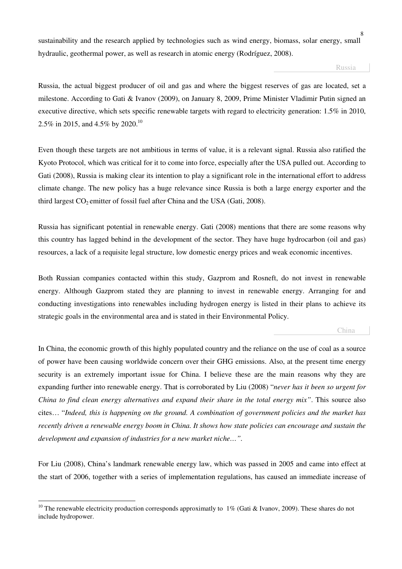sustainability and the research applied by technologies such as wind energy, biomass, solar energy, small hydraulic, geothermal power, as well as research in atomic energy (Rodríguez, 2008).

Russia

Russia, the actual biggest producer of oil and gas and where the biggest reserves of gas are located, set a milestone. According to Gati & Ivanov (2009), on January 8, 2009, Prime Minister Vladimir Putin signed an executive directive, which sets specific renewable targets with regard to electricity generation: 1.5% in 2010, 2.5% in 2015, and 4.5% by 2020.<sup>10</sup>

Even though these targets are not ambitious in terms of value, it is a relevant signal. Russia also ratified the Kyoto Protocol, which was critical for it to come into force, especially after the USA pulled out. According to Gati (2008), Russia is making clear its intention to play a significant role in the international effort to address climate change. The new policy has a huge relevance since Russia is both a large energy exporter and the third largest  $CO<sub>2</sub>$  emitter of fossil fuel after China and the USA (Gati, 2008).

Russia has significant potential in renewable energy. Gati (2008) mentions that there are some reasons why this country has lagged behind in the development of the sector. They have huge hydrocarbon (oil and gas) resources, a lack of a requisite legal structure, low domestic energy prices and weak economic incentives.

Both Russian companies contacted within this study, Gazprom and Rosneft, do not invest in renewable energy. Although Gazprom stated they are planning to invest in renewable energy. Arranging for and conducting investigations into renewables including hydrogen energy is listed in their plans to achieve its strategic goals in the environmental area and is stated in their Environmental Policy.

**China** 

In China, the economic growth of this highly populated country and the reliance on the use of coal as a source of power have been causing worldwide concern over their GHG emissions. Also, at the present time energy security is an extremely important issue for China. I believe these are the main reasons why they are expanding further into renewable energy. That is corroborated by Liu (2008) "*never has it been so urgent for China to find clean energy alternatives and expand their share in the total energy mix"*. This source also cites… "*Indeed, this is happening on the ground. A combination of government policies and the market has recently driven a renewable energy boom in China. It shows how state policies can encourage and sustain the development and expansion of industries for a new market niche…".* 

For Liu (2008), China's landmark renewable energy law, which was passed in 2005 and came into effect at the start of 2006, together with a series of implementation regulations, has caused an immediate increase of

 $\overline{a}$ <sup>10</sup> The renewable electricity production corresponds approximatly to 1% (Gati & Ivanov, 2009). These shares do not include hydropower.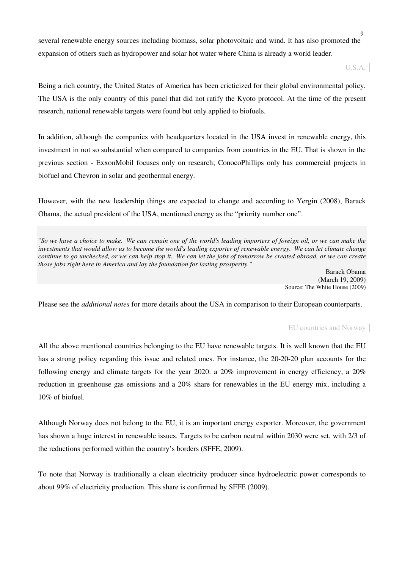several renewable energy sources including biomass, solar photovoltaic and wind. It has also promoted the expansion of others such as hydropower and solar hot water where China is already a world leader.

U.S.A.

Being a rich country, the United States of America has been cricticized for their global environmental policy. The USA is the only country of this panel that did not ratify the Kyoto protocol. At the time of the present research, national renewable targets were found but only applied to biofuels.

In addition, although the companies with headquarters located in the USA invest in renewable energy, this investment in not so substantial when compared to companies from countries in the EU. That is shown in the previous section - ExxonMobil focuses only on research; ConocoPhillips only has commercial projects in biofuel and Chevron in solar and geothermal energy.

However, with the new leadership things are expected to change and according to Yergin (2008), Barack Obama, the actual president of the USA, mentioned energy as the "priority number one".

"*So we have a choice to make. We can remain one of the world's leading importers of foreign oil, or we can make the investments that would allow us to become the world's leading exporter of renewable energy. We can let climate change continue to go unchecked, or we can help stop it. We can let the jobs of tomorrow be created abroad, or we can create those jobs right here in America and lay the foundation for lasting prosperity."*

> Barack Obama (March 19, 2009) Source: The White House (2009)

Please see the *additional notes* for more details about the USA in comparison to their European counterparts.

### EU countries and Norway

All the above mentioned countries belonging to the EU have renewable targets. It is well known that the EU has a strong policy regarding this issue and related ones. For instance, the 20-20-20 plan accounts for the following energy and climate targets for the year 2020: a 20% improvement in energy efficiency, a 20% reduction in greenhouse gas emissions and a 20% share for renewables in the EU energy mix, including a 10% of biofuel.

Although Norway does not belong to the EU, it is an important energy exporter. Moreover, the government has shown a huge interest in renewable issues. Targets to be carbon neutral within 2030 were set, with 2/3 of the reductions performed within the country's borders (SFFE, 2009).

To note that Norway is traditionally a clean electricity producer since hydroelectric power corresponds to about 99% of electricity production. This share is confirmed by SFFE (2009).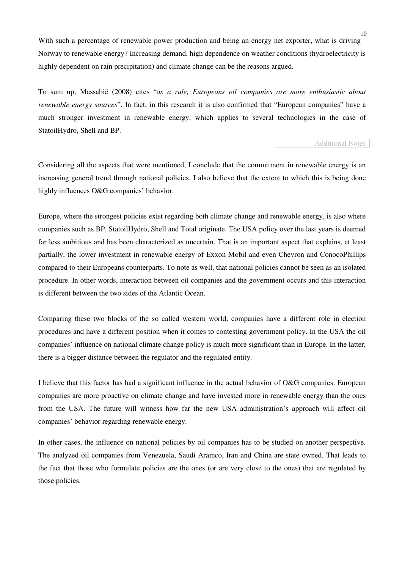With such a percentage of renewable power production and being an energy net exporter, what is driving Norway to renewable energy? Increasing demand, high dependence on weather conditions (hydroelectricity is highly dependent on rain precipitation) and climate change can be the reasons argued.

To sum up, Massabié (2008) cites "*as a rule, Europeans oil companies are more enthusiastic about renewable energy sources*". In fact, in this research it is also confirmed that "European companies" have a much stronger investment in renewable energy, which applies to several technologies in the case of StatoilHydro, Shell and BP.

### Additional Notes

Considering all the aspects that were mentioned, I conclude that the commitment in renewable energy is an increasing general trend through national policies. I also believe that the extent to which this is being done highly influences O&G companies' behavior.

Europe, where the strongest policies exist regarding both climate change and renewable energy, is also where companies such as BP, StatoilHydro, Shell and Total originate. The USA policy over the last years is deemed far less ambitious and has been characterized as uncertain. That is an important aspect that explains, at least partially, the lower investment in renewable energy of Exxon Mobil and even Chevron and ConocoPhillips compared to their Europeans counterparts. To note as well, that national policies cannot be seen as an isolated procedure. In other words, interaction between oil companies and the government occurs and this interaction is different between the two sides of the Atlantic Ocean.

Comparing these two blocks of the so called western world, companies have a different role in election procedures and have a different position when it comes to contesting government policy. In the USA the oil companies' influence on national climate change policy is much more significant than in Europe. In the latter, there is a bigger distance between the regulator and the regulated entity.

I believe that this factor has had a significant influence in the actual behavior of O&G companies. European companies are more proactive on climate change and have invested more in renewable energy than the ones from the USA. The future will witness how far the new USA administration's approach will affect oil companies' behavior regarding renewable energy.

In other cases, the influence on national policies by oil companies has to be studied on another perspective. The analyzed oil companies from Venezuela, Saudi Aramco, Iran and China are state owned. That leads to the fact that those who formulate policies are the ones (or are very close to the ones) that are regulated by those policies.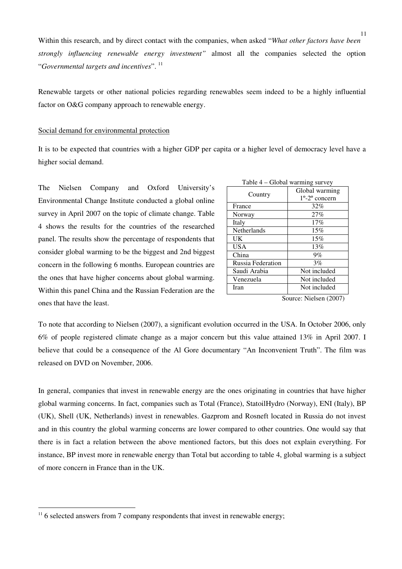Within this research, and by direct contact with the companies, when asked "*What other factors have been strongly influencing renewable energy investment"* almost all the companies selected the option "*Governmental targets and incentives*". <sup>11</sup>

Renewable targets or other national policies regarding renewables seem indeed to be a highly influential factor on O&G company approach to renewable energy.

## Social demand for environmental protection

It is to be expected that countries with a higher GDP per capita or a higher level of democracy level have a higher social demand.

The Nielsen Company and Oxford University's Environmental Change Institute conducted a global online survey in April 2007 on the topic of climate change. Table 4 shows the results for the countries of the researched panel. The results show the percentage of respondents that consider global warming to be the biggest and 2nd biggest concern in the following 6 months. European countries are the ones that have higher concerns about global warming. Within this panel China and the Russian Federation are the ones that have the least.

| Table 4 – Global warming survey |                                   |  |  |
|---------------------------------|-----------------------------------|--|--|
|                                 | Global warming                    |  |  |
| Country                         | $1^{\circ}$ -2 $^{\circ}$ concern |  |  |
| France                          | 32%                               |  |  |
| Norway                          | 27%                               |  |  |
| Italy                           | 17%                               |  |  |
| Netherlands                     | 15%                               |  |  |
| <b>UK</b>                       | 15%                               |  |  |
| USA                             | 13%                               |  |  |
| China                           | 9%                                |  |  |
| Russia Federation               | 3%                                |  |  |
| Saudi Arabia                    | Not included                      |  |  |
| Venezuela                       | Not included                      |  |  |
| Iran                            | Not included                      |  |  |

Source: Nielsen (2007)

To note that according to Nielsen (2007), a significant evolution occurred in the USA. In October 2006, only 6% of people registered climate change as a major concern but this value attained 13% in April 2007. I believe that could be a consequence of the Al Gore documentary "An Inconvenient Truth". The film was released on DVD on November, 2006.

In general, companies that invest in renewable energy are the ones originating in countries that have higher global warming concerns. In fact, companies such as Total (France), StatoilHydro (Norway), ENI (Italy), BP (UK), Shell (UK, Netherlands) invest in renewables. Gazprom and Rosneft located in Russia do not invest and in this country the global warming concerns are lower compared to other countries. One would say that there is in fact a relation between the above mentioned factors, but this does not explain everything. For instance, BP invest more in renewable energy than Total but according to table 4, global warming is a subject of more concern in France than in the UK.

 $\overline{a}$ 

 $11$ <sup>11</sup> 6 selected answers from 7 company respondents that invest in renewable energy;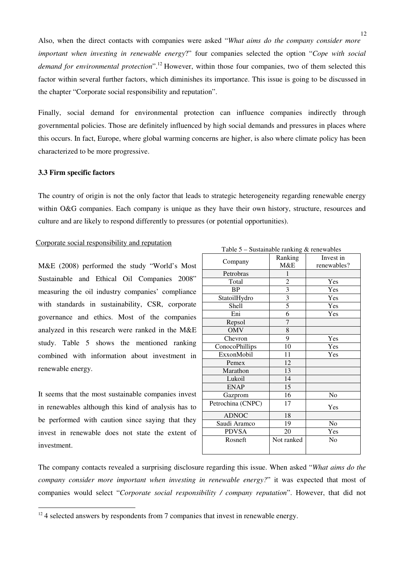Also, when the direct contacts with companies were asked "*What aims do the company consider more important when investing in renewable energy*?" four companies selected the option "*Cope with social demand for environmental protection*".<sup>12</sup> However, within those four companies, two of them selected this factor within several further factors, which diminishes its importance. This issue is going to be discussed in the chapter "Corporate social responsibility and reputation".

Finally, social demand for environmental protection can influence companies indirectly through governmental policies. Those are definitely influenced by high social demands and pressures in places where this occurs. In fact, Europe, where global warming concerns are higher, is also where climate policy has been characterized to be more progressive.

#### **3.3 Firm specific factors**

The country of origin is not the only factor that leads to strategic heterogeneity regarding renewable energy within O&G companies. Each company is unique as they have their own history, structure, resources and culture and are likely to respond differently to pressures (or potential opportunities).

#### Corporate social responsibility and reputation

M&E (2008) performed the study "World's Most Sustainable and Ethical Oil Companies 2008" measuring the oil industry companies' compliance with standards in sustainability, CSR, corporate governance and ethics. Most of the companies analyzed in this research were ranked in the M&E study. Table 5 shows the mentioned ranking combined with information about investment in renewable energy.

It seems that the most sustainable companies invest in renewables although this kind of analysis has to be performed with caution since saying that they invest in renewable does not state the extent of investment.

 $\overline{a}$ 

|                   |                         | $\alpha$ bustandone running $\alpha$ renewables |
|-------------------|-------------------------|-------------------------------------------------|
| Company           | Ranking                 | Invest in                                       |
|                   | M&E                     | renewables?                                     |
| Petrobras         | 1                       |                                                 |
| Total             | $\overline{c}$          | Yes                                             |
| <b>BP</b>         | $\overline{\mathbf{3}}$ | Yes                                             |
| StatoilHydro      | $\frac{3}{5}$           | Yes                                             |
| Shell             |                         | Yes                                             |
| Eni               | 6                       | Yes                                             |
| Repsol            | 7                       |                                                 |
| <b>OMV</b>        | 8                       |                                                 |
| Chevron           | 9                       | Yes                                             |
| ConocoPhillips    | 10                      | Yes                                             |
| ExxonMobil        | 11                      | Yes                                             |
| Pemex             | 12                      |                                                 |
| Marathon          | 13                      |                                                 |
| Lukoil            | 14                      |                                                 |
| <b>ENAP</b>       | 15                      |                                                 |
| Gazprom           | 16                      | No                                              |
| Petrochina (CNPC) | 17                      | Yes                                             |
| <b>ADNOC</b>      | 18                      |                                                 |
| Saudi Aramco      | 19                      | No                                              |
| <b>PDVSA</b>      | 20                      | Yes                                             |
| Rosneft           | Not ranked              | N <sub>0</sub>                                  |
|                   |                         |                                                 |

Table 5 – Sustainable ranking & renewables

The company contacts revealed a surprising disclosure regarding this issue. When asked "*What aims do the company consider more important when investing in renewable energy?*" it was expected that most of companies would select "*Corporate social responsibility / company reputation*". However, that did not

 $12$  4 selected answers by respondents from 7 companies that invest in renewable energy.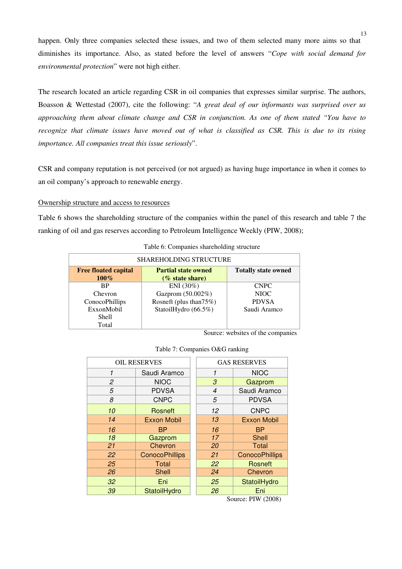happen. Only three companies selected these issues, and two of them selected many more aims so that diminishes its importance. Also, as stated before the level of answers "*Cope with social demand for environmental protection*" were not high either.

The research located an article regarding CSR in oil companies that expresses similar surprise. The authors, Boasson & Wettestad (2007), cite the following: "*A great deal of our informants was surprised over us approaching them about climate change and CSR in conjunction. As one of them stated "You have to recognize that climate issues have moved out of what is classified as CSR. This is due to its rising importance. All companies treat this issue seriously*".

CSR and company reputation is not perceived (or not argued) as having huge importance in when it comes to an oil company's approach to renewable energy.

## Ownership structure and access to resources

Table 6 shows the shareholding structure of the companies within the panel of this research and table 7 the ranking of oil and gas reserves according to Petroleum Intelligence Weekly (PIW, 2008);

| <b>SHAREHOLDING STRUCTURE</b>                             |                         |                            |  |  |  |  |
|-----------------------------------------------------------|-------------------------|----------------------------|--|--|--|--|
| <b>Free floated capital</b><br><b>Partial state owned</b> |                         | <b>Totally state owned</b> |  |  |  |  |
| $100\%$                                                   | (% state share)         |                            |  |  |  |  |
| <b>RP</b>                                                 | $ENI (30\%)$            | <b>CNPC</b>                |  |  |  |  |
| Chevron                                                   | Gazprom (50.002%)       | NIOC.                      |  |  |  |  |
| ConocoPhillips                                            | Rosneft (plus than 75%) | <b>PDVSA</b>               |  |  |  |  |
| ExxonMobil                                                | StatoilHydro (66.5%)    | Saudi Aramco               |  |  |  |  |
| Shell                                                     |                         |                            |  |  |  |  |
| Total                                                     |                         |                            |  |  |  |  |

|  |  | Table 6: Companies shareholding structure |  |
|--|--|-------------------------------------------|--|
|--|--|-------------------------------------------|--|

Source: websites of the companies

|  | Table 7: Companies O&G ranking |  |  |
|--|--------------------------------|--|--|
|--|--------------------------------|--|--|

| <b>OIL RESERVES</b> |                       |    | <b>GAS RESERVES</b>   |
|---------------------|-----------------------|----|-----------------------|
| 1                   | Saudi Aramco          | 1  | <b>NIOC</b>           |
| 2                   | <b>NIOC</b>           | 3  | Gazprom               |
| 5                   | <b>PDVSA</b>          | 4  | Saudi Aramco          |
| 8                   | <b>CNPC</b>           | 5  | <b>PDVSA</b>          |
| 10                  | Rosneft               | 12 | <b>CNPC</b>           |
| 14                  | <b>Exxon Mobil</b>    | 13 | <b>Exxon Mobil</b>    |
| 16                  | <b>BP</b>             | 16 | <b>BP</b>             |
| 18                  | Gazprom               | 17 | Shell                 |
| 21                  | Chevron               | 20 | <b>Total</b>          |
| 22                  | <b>ConocoPhillips</b> | 21 | <b>ConocoPhillips</b> |
| 25                  | Total                 | 22 | Rosneft               |
| 26                  | <b>Shell</b>          | 24 | Chevron               |
| 32                  | Eni                   | 25 | StatoilHydro          |
| 39                  | StatoilHydro          | 26 | Eni                   |

Source: PIW (2008)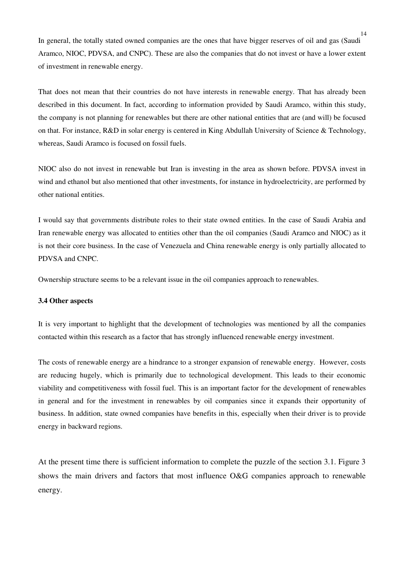In general, the totally stated owned companies are the ones that have bigger reserves of oil and gas (Saudi Aramco, NIOC, PDVSA, and CNPC). These are also the companies that do not invest or have a lower extent of investment in renewable energy.

That does not mean that their countries do not have interests in renewable energy. That has already been described in this document. In fact, according to information provided by Saudi Aramco, within this study, the company is not planning for renewables but there are other national entities that are (and will) be focused on that. For instance, R&D in solar energy is centered in King Abdullah University of Science & Technology, whereas, Saudi Aramco is focused on fossil fuels.

NIOC also do not invest in renewable but Iran is investing in the area as shown before. PDVSA invest in wind and ethanol but also mentioned that other investments, for instance in hydroelectricity, are performed by other national entities.

I would say that governments distribute roles to their state owned entities. In the case of Saudi Arabia and Iran renewable energy was allocated to entities other than the oil companies (Saudi Aramco and NIOC) as it is not their core business. In the case of Venezuela and China renewable energy is only partially allocated to PDVSA and CNPC.

Ownership structure seems to be a relevant issue in the oil companies approach to renewables.

## **3.4 Other aspects**

It is very important to highlight that the development of technologies was mentioned by all the companies contacted within this research as a factor that has strongly influenced renewable energy investment.

The costs of renewable energy are a hindrance to a stronger expansion of renewable energy. However, costs are reducing hugely, which is primarily due to technological development. This leads to their economic viability and competitiveness with fossil fuel. This is an important factor for the development of renewables in general and for the investment in renewables by oil companies since it expands their opportunity of business. In addition, state owned companies have benefits in this, especially when their driver is to provide energy in backward regions.

At the present time there is sufficient information to complete the puzzle of the section 3.1. Figure 3 shows the main drivers and factors that most influence O&G companies approach to renewable energy.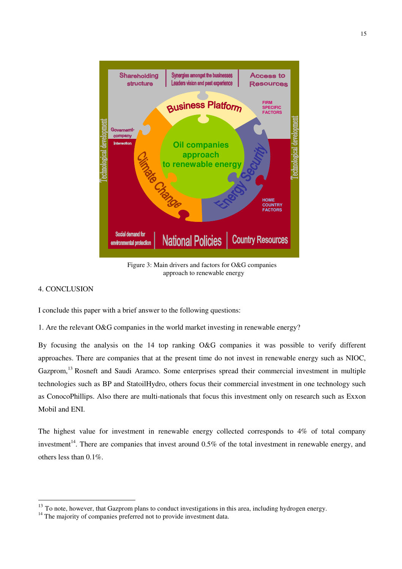

Figure 3: Main drivers and factors for O&G companies approach to renewable energy

## 4. CONCLUSION

 $\overline{a}$ 

I conclude this paper with a brief answer to the following questions:

1. Are the relevant O&G companies in the world market investing in renewable energy?

By focusing the analysis on the 14 top ranking O&G companies it was possible to verify different approaches. There are companies that at the present time do not invest in renewable energy such as NIOC, Gazprom,<sup>13</sup> Rosneft and Saudi Aramco. Some enterprises spread their commercial investment in multiple technologies such as BP and StatoilHydro, others focus their commercial investment in one technology such as ConocoPhillips. Also there are multi-nationals that focus this investment only on research such as Exxon Mobil and ENI.

The highest value for investment in renewable energy collected corresponds to 4% of total company investment<sup>14</sup>. There are companies that invest around  $0.5\%$  of the total investment in renewable energy, and others less than 0.1%.

<sup>&</sup>lt;sup>13</sup> To note, however, that Gazprom plans to conduct investigations in this area, including hydrogen energy.

<sup>&</sup>lt;sup>14</sup> The majority of companies preferred not to provide investment data.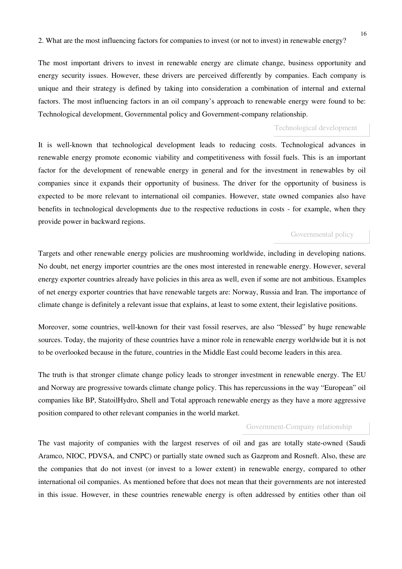The most important drivers to invest in renewable energy are climate change, business opportunity and energy security issues. However, these drivers are perceived differently by companies. Each company is unique and their strategy is defined by taking into consideration a combination of internal and external factors. The most influencing factors in an oil company's approach to renewable energy were found to be: Technological development, Governmental policy and Government-company relationship.

## Technological development

It is well-known that technological development leads to reducing costs. Technological advances in renewable energy promote economic viability and competitiveness with fossil fuels. This is an important factor for the development of renewable energy in general and for the investment in renewables by oil companies since it expands their opportunity of business. The driver for the opportunity of business is expected to be more relevant to international oil companies. However, state owned companies also have benefits in technological developments due to the respective reductions in costs - for example, when they provide power in backward regions.

## Governmental policy

Targets and other renewable energy policies are mushrooming worldwide, including in developing nations. No doubt, net energy importer countries are the ones most interested in renewable energy. However, several energy exporter countries already have policies in this area as well, even if some are not ambitious. Examples of net energy exporter countries that have renewable targets are: Norway, Russia and Iran. The importance of climate change is definitely a relevant issue that explains, at least to some extent, their legislative positions.

Moreover, some countries, well-known for their vast fossil reserves, are also "blessed" by huge renewable sources. Today, the majority of these countries have a minor role in renewable energy worldwide but it is not to be overlooked because in the future, countries in the Middle East could become leaders in this area.

The truth is that stronger climate change policy leads to stronger investment in renewable energy. The EU and Norway are progressive towards climate change policy. This has repercussions in the way "European" oil companies like BP, StatoilHydro, Shell and Total approach renewable energy as they have a more aggressive position compared to other relevant companies in the world market.

#### Government-Company relationship

The vast majority of companies with the largest reserves of oil and gas are totally state-owned (Saudi Aramco, NIOC, PDVSA, and CNPC) or partially state owned such as Gazprom and Rosneft. Also, these are the companies that do not invest (or invest to a lower extent) in renewable energy, compared to other international oil companies. As mentioned before that does not mean that their governments are not interested in this issue. However, in these countries renewable energy is often addressed by entities other than oil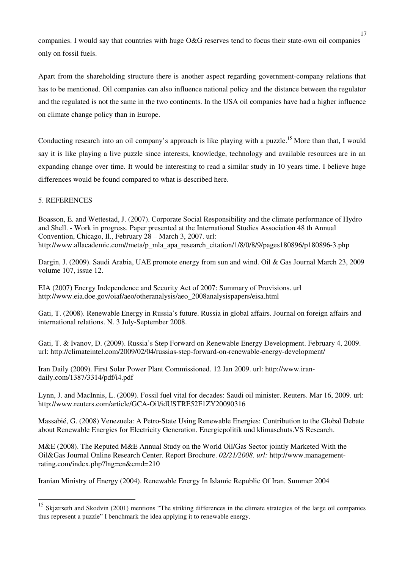companies. I would say that countries with huge O&G reserves tend to focus their state-own oil companies only on fossil fuels.

Apart from the shareholding structure there is another aspect regarding government-company relations that has to be mentioned. Oil companies can also influence national policy and the distance between the regulator and the regulated is not the same in the two continents. In the USA oil companies have had a higher influence on climate change policy than in Europe.

Conducting research into an oil company's approach is like playing with a puzzle.<sup>15</sup> More than that, I would say it is like playing a live puzzle since interests, knowledge, technology and available resources are in an expanding change over time. It would be interesting to read a similar study in 10 years time. I believe huge differences would be found compared to what is described here.

# 5. REFERENCES

 $\overline{a}$ 

Boasson, E. and Wettestad, J. (2007). Corporate Social Responsibility and the climate performance of Hydro and Shell. - Work in progress. Paper presented at the International Studies Association 48 th Annual Convention, Chicago, Il., February 28 – March 3, 2007. url: http://www.allacademic.com//meta/p\_mla\_apa\_research\_citation/1/8/0/8/9/pages180896/p180896-3.php

Dargin, J. (2009). Saudi Arabia, UAE promote energy from sun and wind. Oil & Gas Journal March 23, 2009 volume 107, issue 12.

EIA (2007) Energy Independence and Security Act of 2007: Summary of Provisions. url http://www.eia.doe.gov/oiaf/aeo/otheranalysis/aeo\_2008analysispapers/eisa.html

Gati, T. (2008). Renewable Energy in Russia's future. Russia in global affairs. Journal on foreign affairs and international relations. N. 3 July-September 2008.

Gati, T. & Ivanov, D. (2009). Russia's Step Forward on Renewable Energy Development. February 4, 2009. url: http://climateintel.com/2009/02/04/russias-step-forward-on-renewable-energy-development/

Iran Daily (2009). First Solar Power Plant Commissioned. 12 Jan 2009. url: http://www.irandaily.com/1387/3314/pdf/i4.pdf

Lynn, J. and MacInnis, L. (2009). Fossil fuel vital for decades: Saudi oil minister. Reuters. Mar 16, 2009. url: http://www.reuters.com/article/GCA-Oil/idUSTRE52F1ZY20090316

Massabié, G. (2008) Venezuela: A Petro-State Using Renewable Energies: Contribution to the Global Debate about Renewable Energies for Electricity Generation. Energiepolitik und klimaschuts.VS Research.

M&E (2008). The Reputed M&E Annual Study on the World Oil/Gas Sector jointly Marketed With the Oil&Gas Journal Online Research Center. Report Brochure. *02/21/2008. url:* http://www.managementrating.com/index.php?lng=en&cmd=210

Iranian Ministry of Energy (2004). Renewable Energy In Islamic Republic Of Iran. Summer 2004

<sup>&</sup>lt;sup>15</sup> Skiærseth and Skodvin (2001) mentions "The striking differences in the climate strategies of the large oil companies thus represent a puzzle" I benchmark the idea applying it to renewable energy.